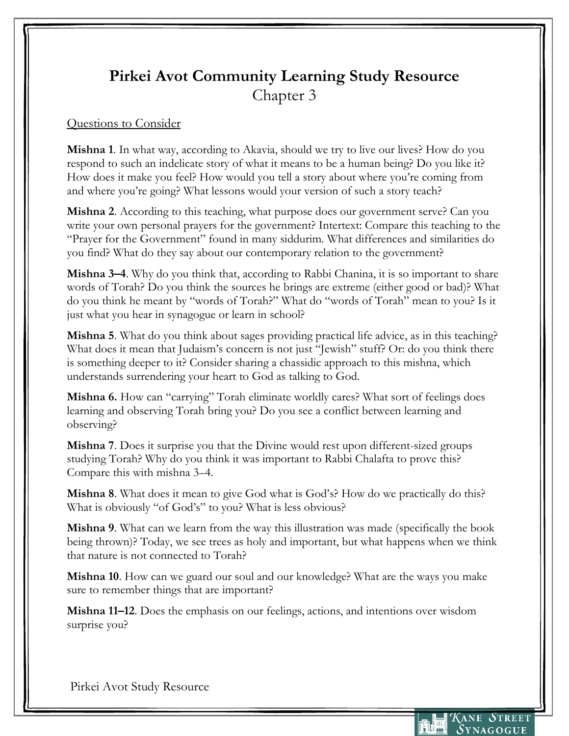## **Pirkei Avot Community Learning Study Resource** Chapter 3

## Questions to Consider

**Mishna 1**. In what way, according to Akavia, should we try to live our lives? How do you respond to such an indelicate story of what it means to be a human being? Do you like it? How does it make you feel? How would you tell a story about where you're coming from and where you're going? What lessons would your version of such a story teach?

**Mishna 2**. According to this teaching, what purpose does our government serve? Can you write your own personal prayers for the government? Intertext: Compare this teaching to the "Prayer for the Government" found in many siddurim. What differences and similarities do you find? What do they say about our contemporary relation to the government?

**Mishna 3–4**. Why do you think that, according to Rabbi Chanina, it is so important to share words of Torah? Do you think the sources he brings are extreme (either good or bad)? What do you think he meant by "words of Torah?" What do "words of Torah" mean to you? Is it just what you hear in synagogue or learn in school?

**Mishna 5**. What do you think about sages providing practical life advice, as in this teaching? What does it mean that Judaism's concern is not just "Jewish" stuff? Or: do you think there is something deeper to it? Consider sharing a chassidic approach to this mishna, which understands surrendering your heart to God as talking to God.

**Mishna 6.** How can "carrying" Torah eliminate worldly cares? What sort of feelings does learning and observing Torah bring you? Do you see a conflict between learning and observing?

**Mishna 7**. Does it surprise you that the Divine would rest upon different-sized groups studying Torah? Why do you think it was important to Rabbi Chalafta to prove this? Compare this with mishna 3–4.

**Mishna 8**. What does it mean to give God what is God's? How do we practically do this? What is obviously "of God's" to you? What is less obvious?

**Mishna 9**. What can we learn from the way this illustration was made (specifically the book being thrown)? Today, we see trees as holy and important, but what happens when we think that nature is not connected to Torah?

**Mishna 10**. How can we guard our soul and our knowledge? What are the ways you make sure to remember things that are important?

**Mishna 11–12**. Does the emphasis on our feelings, actions, and intentions over wisdom surprise you?

Pirkei Avot Study Resource